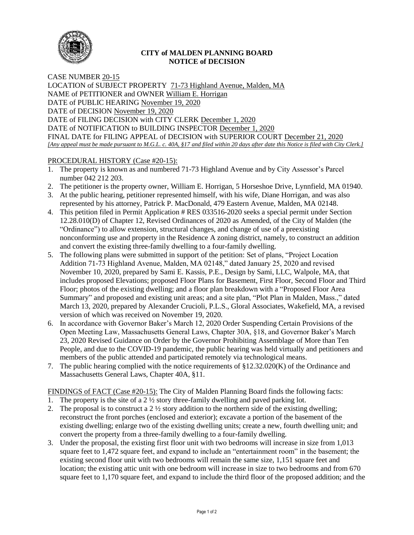

## **CITY of MALDEN PLANNING BOARD NOTICE of DECISION**

CASE NUMBER 20-15 LOCATION of SUBJECT PROPERTY 71-73 Highland Avenue, Malden, MA NAME of PETITIONER and OWNER William E. Horrigan DATE of PUBLIC HEARING November 19, 2020 DATE of DECISION November 19, 2020 DATE of FILING DECISION with CITY CLERK December 1, 2020 DATE of NOTIFICATION to BUILDING INSPECTOR December 1, 2020 FINAL DATE for FILING APPEAL of DECISION with SUPERIOR COURT December 21, 2020 *[Any appeal must be made pursuant to M.G.L. c. 40A, §17 and filed within 20 days after date this Notice is filed with City Clerk.]* 

## PROCEDURAL HISTORY (Case #20-15):

- 1. The property is known as and numbered 71-73 Highland Avenue and by City Assessor's Parcel number 042 212 203.
- 2. The petitioner is the property owner, William E. Horrigan, 5 Horseshoe Drive, Lynnfield, MA 01940.
- 3. At the public hearing, petitioner represented himself, with his wife, Diane Horrigan, and was also represented by his attorney, Patrick P. MacDonald, 479 Eastern Avenue, Malden, MA 02148.
- 4. This petition filed in Permit Application # RES 033516-2020 seeks a special permit under Section 12.28.010(D) of Chapter 12, Revised Ordinances of 2020 as Amended, of the City of Malden (the "Ordinance") to allow extension, structural changes, and change of use of a preexisting nonconforming use and property in the Residence A zoning district, namely, to construct an addition and convert the existing three-family dwelling to a four-family dwelling.
- 5. The following plans were submitted in support of the petition: Set of plans, "Project Location Addition 71-73 Highland Avenue, Malden, MA 02148," dated January 25, 2020 and revised November 10, 2020, prepared by Sami E. Kassis, P.E., Design by Sami, LLC, Walpole, MA, that includes proposed Elevations; proposed Floor Plans for Basement, First Floor, Second Floor and Third Floor; photos of the existing dwelling; and a floor plan breakdown with a "Proposed Floor Area Summary" and proposed and existing unit areas; and a site plan, "Plot Plan in Malden, Mass.," dated March 13, 2020, prepared by Alexander Crucioli, P.L.S., Gloral Associates, Wakefield, MA, a revised version of which was received on November 19, 2020.
- 6. In accordance with Governor Baker's March 12, 2020 Order Suspending Certain Provisions of the Open Meeting Law, Massachusetts General Laws, Chapter 30A, §18, and Governor Baker's March 23, 2020 Revised Guidance on Order by the Governor Prohibiting Assemblage of More than Ten People, and due to the COVID-19 pandemic, the public hearing was held virtually and petitioners and members of the public attended and participated remotely via technological means.
- 7. The public hearing complied with the notice requirements of §12.32.020(K) of the Ordinance and Massachusetts General Laws, Chapter 40A, §11.

FINDINGS of FACT (Case #20-15): The City of Malden Planning Board finds the following facts:

- 1. The property is the site of a  $2\frac{1}{2}$  story three-family dwelling and paved parking lot.
- 2. The proposal is to construct a  $2\frac{1}{2}$  story addition to the northern side of the existing dwelling; reconstruct the front porches (enclosed and exterior); excavate a portion of the basement of the existing dwelling; enlarge two of the existing dwelling units; create a new, fourth dwelling unit; and convert the property from a three-family dwelling to a four-family dwelling.
- 3. Under the proposal, the existing first floor unit with two bedrooms will increase in size from 1,013 square feet to 1,472 square feet, and expand to include an "entertainment room" in the basement; the existing second floor unit with two bedrooms will remain the same size, 1,151 square feet and location; the existing attic unit with one bedroom will increase in size to two bedrooms and from 670 square feet to 1,170 square feet, and expand to include the third floor of the proposed addition; and the